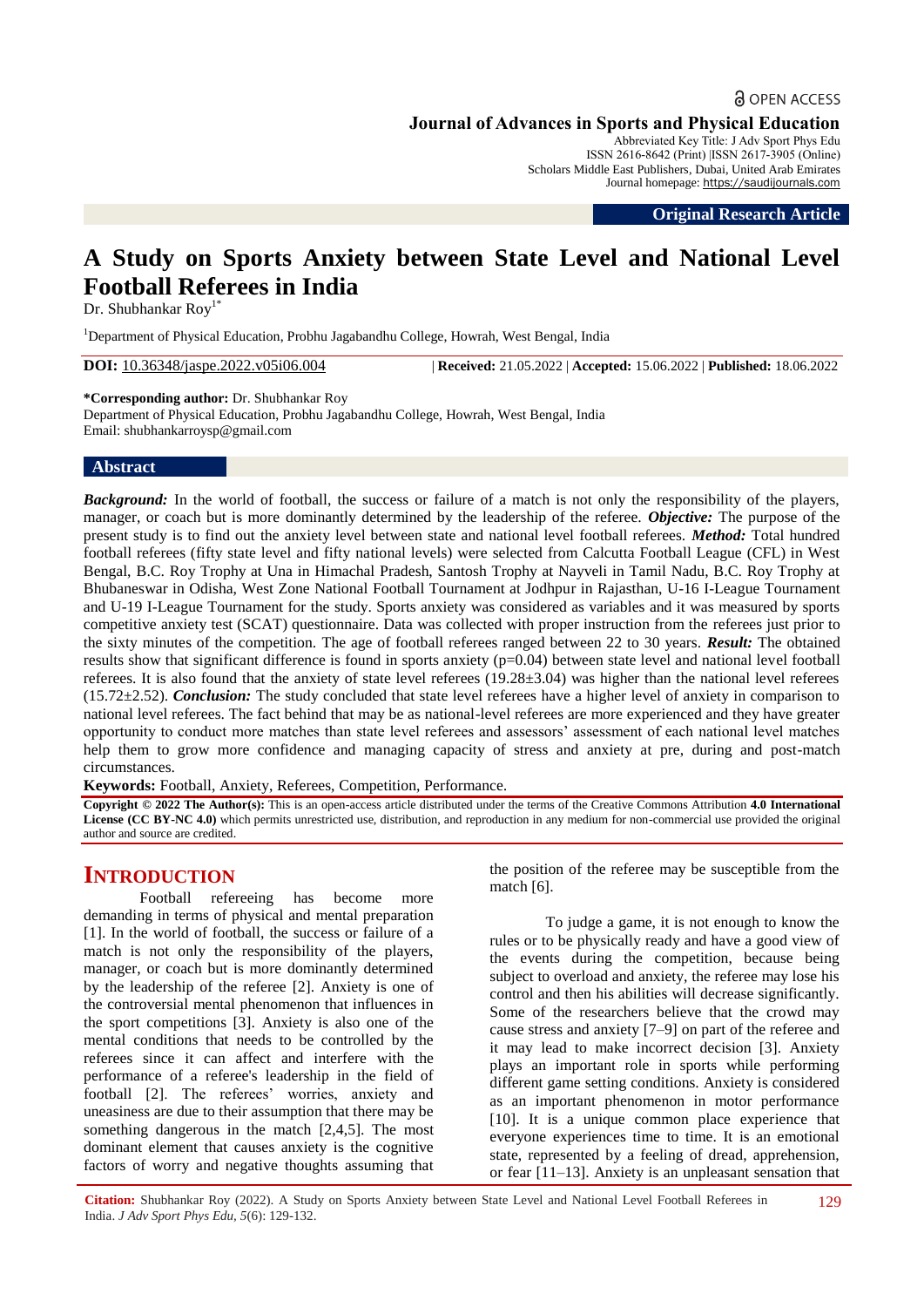# **a** OPEN ACCESS **Journal of Advances in Sports and Physical Education**

Abbreviated Key Title: J Adv Sport Phys Edu ISSN 2616-8642 (Print) |ISSN 2617-3905 (Online) Scholars Middle East Publishers, Dubai, United Arab Emirates Journal homepage: [https://saudijournals.com](https://saudijournals.com/jaspe)

**Original Research Article**

# **A Study on Sports Anxiety between State Level and National Level Football Referees in India**

Dr. Shubhankar Roy<sup>1\*</sup>

<sup>1</sup>Department of Physical Education, Probhu Jagabandhu College, Howrah, West Bengal, India

**DOI:** 10.36348/jaspe.2022.v05i06.004 | **Received:** 21.05.2022 | **Accepted:** 15.06.2022 | **Published:** 18.06.2022

**\*Corresponding author:** Dr. Shubhankar Roy Department of Physical Education, Probhu Jagabandhu College, Howrah, West Bengal, India Email: shubhankarroysp@gmail.com

# **Abstract**

*Background:* In the world of football, the success or failure of a match is not only the responsibility of the players, manager, or coach but is more dominantly determined by the leadership of the referee. *Objective:* The purpose of the present study is to find out the anxiety level between state and national level football referees. *Method:* Total hundred football referees (fifty state level and fifty national levels) were selected from Calcutta Football League (CFL) in West Bengal, B.C. Roy Trophy at Una in Himachal Pradesh, Santosh Trophy at Nayveli in Tamil Nadu, B.C. Roy Trophy at Bhubaneswar in Odisha, West Zone National Football Tournament at Jodhpur in Rajasthan, U-16 I-League Tournament and U-19 I-League Tournament for the study. Sports anxiety was considered as variables and it was measured by sports competitive anxiety test (SCAT) questionnaire. Data was collected with proper instruction from the referees just prior to the sixty minutes of the competition. The age of football referees ranged between 22 to 30 years. *Result:* The obtained results show that significant difference is found in sports anxiety (p=0.04) between state level and national level football referees. It is also found that the anxiety of state level referees (19.28±3.04) was higher than the national level referees (15.72±2.52). *Conclusion:* The study concluded that state level referees have a higher level of anxiety in comparison to national level referees. The fact behind that may be as national-level referees are more experienced and they have greater opportunity to conduct more matches than state level referees and assessors" assessment of each national level matches help them to grow more confidence and managing capacity of stress and anxiety at pre, during and post-match circumstances.

**Keywords:** Football, Anxiety, Referees, Competition, Performance*.*

**Copyright © 2022 The Author(s):** This is an open-access article distributed under the terms of the Creative Commons Attribution **4.0 International License (CC BY-NC 4.0)** which permits unrestricted use, distribution, and reproduction in any medium for non-commercial use provided the original author and source are credited.

# **INTRODUCTION**

Football refereeing has become more demanding in terms of physical and mental preparation [1]. In the world of football, the success or failure of a match is not only the responsibility of the players, manager, or coach but is more dominantly determined by the leadership of the referee [2]. Anxiety is one of the controversial mental phenomenon that influences in the sport competitions [3]. Anxiety is also one of the mental conditions that needs to be controlled by the referees since it can affect and interfere with the performance of a referee's leadership in the field of football [2]. The referees' worries, anxiety and uneasiness are due to their assumption that there may be something dangerous in the match [2,4,5]. The most dominant element that causes anxiety is the cognitive factors of worry and negative thoughts assuming that

the position of the referee may be susceptible from the match [6].

To judge a game, it is not enough to know the rules or to be physically ready and have a good view of the events during the competition, because being subject to overload and anxiety, the referee may lose his control and then his abilities will decrease significantly. Some of the researchers believe that the crowd may cause stress and anxiety [7–9] on part of the referee and it may lead to make incorrect decision [3]. Anxiety plays an important role in sports while performing different game setting conditions. Anxiety is considered as an important phenomenon in motor performance [10]. It is a unique common place experience that everyone experiences time to time. It is an emotional state, represented by a feeling of dread, apprehension, or fear [11–13]. Anxiety is an unpleasant sensation that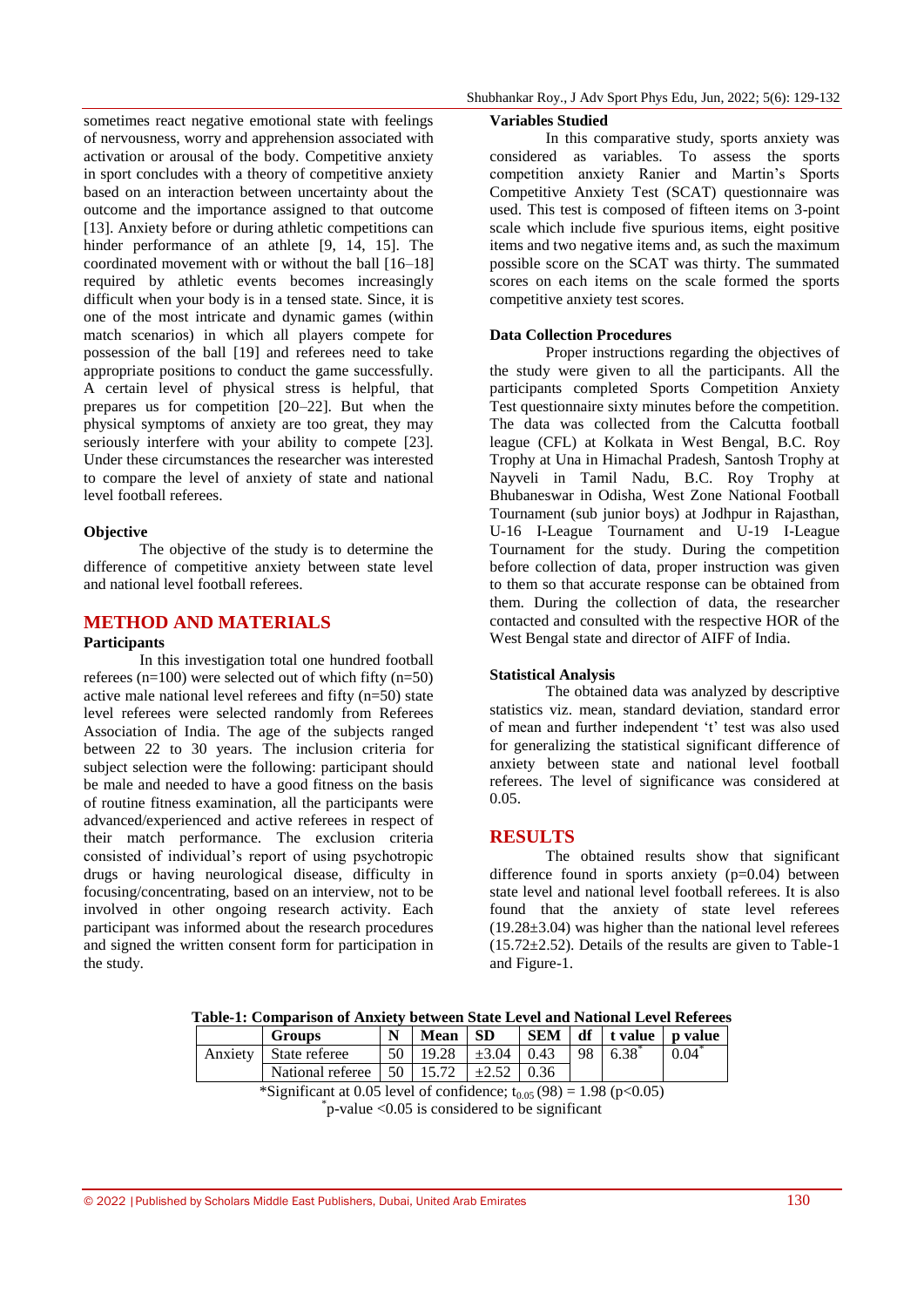sometimes react negative emotional state with feelings of nervousness, worry and apprehension associated with activation or arousal of the body. Competitive anxiety in sport concludes with a theory of competitive anxiety based on an interaction between uncertainty about the outcome and the importance assigned to that outcome [13]. Anxiety before or during athletic competitions can hinder performance of an athlete [9, 14, 15]. The coordinated movement with or without the ball [16–18] required by athletic events becomes increasingly difficult when your body is in a tensed state. Since, it is one of the most intricate and dynamic games (within match scenarios) in which all players compete for possession of the ball [19] and referees need to take appropriate positions to conduct the game successfully. A certain level of physical stress is helpful, that prepares us for competition [20–22]. But when the physical symptoms of anxiety are too great, they may seriously interfere with your ability to compete [23]. Under these circumstances the researcher was interested to compare the level of anxiety of state and national level football referees.

### **Objective**

The objective of the study is to determine the difference of competitive anxiety between state level and national level football referees.

# **METHOD AND MATERIALS**

# **Participants**

In this investigation total one hundred football referees  $(n=100)$  were selected out of which fifty  $(n=50)$ active male national level referees and fifty (n=50) state level referees were selected randomly from Referees Association of India. The age of the subjects ranged between 22 to 30 years. The inclusion criteria for subject selection were the following: participant should be male and needed to have a good fitness on the basis of routine fitness examination, all the participants were advanced/experienced and active referees in respect of their match performance. The exclusion criteria consisted of individual"s report of using psychotropic drugs or having neurological disease, difficulty in focusing/concentrating, based on an interview, not to be involved in other ongoing research activity. Each participant was informed about the research procedures and signed the written consent form for participation in the study.

#### **Variables Studied**

In this comparative study, sports anxiety was considered as variables. To assess the sports competition anxiety Ranier and Martin"s Sports Competitive Anxiety Test (SCAT) questionnaire was used. This test is composed of fifteen items on 3-point scale which include five spurious items, eight positive items and two negative items and, as such the maximum possible score on the SCAT was thirty. The summated scores on each items on the scale formed the sports competitive anxiety test scores.

#### **Data Collection Procedures**

Proper instructions regarding the objectives of the study were given to all the participants. All the participants completed Sports Competition Anxiety Test questionnaire sixty minutes before the competition. The data was collected from the Calcutta football league (CFL) at Kolkata in West Bengal, B.C. Roy Trophy at Una in Himachal Pradesh, Santosh Trophy at Nayveli in Tamil Nadu, B.C. Roy Trophy at Bhubaneswar in Odisha, West Zone National Football Tournament (sub junior boys) at Jodhpur in Rajasthan, U-16 I-League Tournament and U-19 I-League Tournament for the study. During the competition before collection of data, proper instruction was given to them so that accurate response can be obtained from them. During the collection of data, the researcher contacted and consulted with the respective HOR of the West Bengal state and director of AIFF of India.

#### **Statistical Analysis**

The obtained data was analyzed by descriptive statistics viz. mean, standard deviation, standard error of mean and further independent "t" test was also used for generalizing the statistical significant difference of anxiety between state and national level football referees. The level of significance was considered at 0.05.

#### **RESULTS**

The obtained results show that significant difference found in sports anxiety (p=0.04) between state level and national level football referees. It is also found that the anxiety of state level referees  $(19.28\pm3.04)$  was higher than the national level referees  $(15.72 \pm 2.52)$ . Details of the results are given to Table-1 and Figure-1.

| rabic-1. Comparison or Amalety between blate lievel and Futuonal lievel Kelerces |                                                                         |    |             |            |            |     |                          |                  |
|----------------------------------------------------------------------------------|-------------------------------------------------------------------------|----|-------------|------------|------------|-----|--------------------------|------------------|
|                                                                                  | <b>Groups</b>                                                           |    | <b>Mean</b> | -SD        | <b>SEM</b> |     | $df$   t value   p value |                  |
| Anxiety                                                                          | State referee                                                           | 50 | 19.28       | $\pm 3.04$ | 0.43       | -98 | 6.38                     | $0.04^{\degree}$ |
|                                                                                  | National referee $\vert 50 \vert 15.72 \vert \pm 2.52 \vert 0.36 \vert$ |    |             |            |            |     |                          |                  |
| *Significant at 0.05 level of confidence; $t_{0.05}$ (98) = 1.98 (p<0.05)        |                                                                         |    |             |            |            |     |                          |                  |

**Table-1: Comparison of Anxiety between State Level and National Level Referees**

\* p-value <0.05 is considered to be significant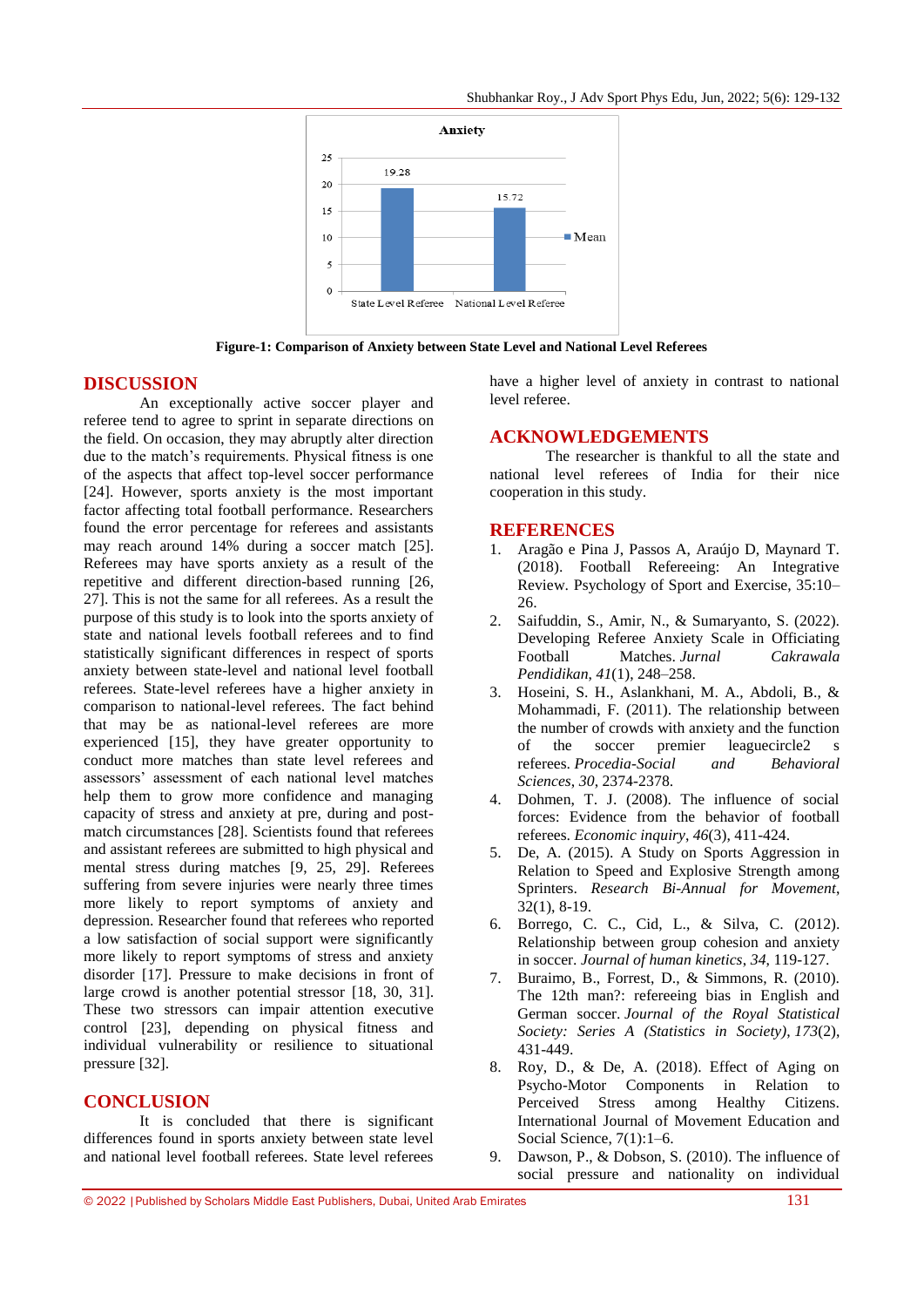Shubhankar Roy., J Adv Sport Phys Edu, Jun, 2022; 5(6): 129-132



**Figure-1: Comparison of Anxiety between State Level and National Level Referees**

# **DISCUSSION**

An exceptionally active soccer player and referee tend to agree to sprint in separate directions on the field. On occasion, they may abruptly alter direction due to the match"s requirements. Physical fitness is one of the aspects that affect top-level soccer performance [24]. However, sports anxiety is the most important factor affecting total football performance. Researchers found the error percentage for referees and assistants may reach around 14% during a soccer match [25]. Referees may have sports anxiety as a result of the repetitive and different direction-based running [26, 27]. This is not the same for all referees. As a result the purpose of this study is to look into the sports anxiety of state and national levels football referees and to find statistically significant differences in respect of sports anxiety between state-level and national level football referees. State-level referees have a higher anxiety in comparison to national-level referees. The fact behind that may be as national-level referees are more experienced [15], they have greater opportunity to conduct more matches than state level referees and assessors" assessment of each national level matches help them to grow more confidence and managing capacity of stress and anxiety at pre, during and postmatch circumstances [28]. Scientists found that referees and assistant referees are submitted to high physical and mental stress during matches [9, 25, 29]. Referees suffering from severe injuries were nearly three times more likely to report symptoms of anxiety and depression. Researcher found that referees who reported a low satisfaction of social support were significantly more likely to report symptoms of stress and anxiety disorder [17]. Pressure to make decisions in front of large crowd is another potential stressor [18, 30, 31]. These two stressors can impair attention executive control [23], depending on physical fitness and individual vulnerability or resilience to situational pressure [32].

# **CONCLUSION**

It is concluded that there is significant differences found in sports anxiety between state level and national level football referees. State level referees

have a higher level of anxiety in contrast to national level referee.

# **ACKNOWLEDGEMENTS**

The researcher is thankful to all the state and national level referees of India for their nice cooperation in this study.

#### **REFERENCES**

- 1. Aragão e Pina J, Passos A, Araújo D, Maynard T. (2018). Football Refereeing: An Integrative Review. Psychology of Sport and Exercise, 35:10– 26.
- 2. Saifuddin, S., Amir, N., & Sumaryanto, S. (2022). Developing Referee Anxiety Scale in Officiating Football Matches. *Jurnal Cakrawala Pendidikan*, *41*(1), 248–258.
- 3. Hoseini, S. H., Aslankhani, M. A., Abdoli, B., & Mohammadi, F. (2011). The relationship between the number of crowds with anxiety and the function of the soccer premier leaguecircle2 s referees. *Procedia-Social and Behavioral Sciences*, *30*, 2374-2378.
- 4. Dohmen, T. J. (2008). The influence of social forces: Evidence from the behavior of football referees. *Economic inquiry*, *46*(3), 411-424.
- 5. De, A. (2015). A Study on Sports Aggression in Relation to Speed and Explosive Strength among Sprinters. *Research Bi-Annual for Movement*, 32(1), 8-19.
- 6. Borrego, C. C., Cid, L., & Silva, C. (2012). Relationship between group cohesion and anxiety in soccer. *Journal of human kinetics*, *34*, 119-127.
- 7. Buraimo, B., Forrest, D., & Simmons, R. (2010). The 12th man?: refereeing bias in English and German soccer. *Journal of the Royal Statistical Society: Series A (Statistics in Society)*, *173*(2), 431-449.
- 8. Roy, D., & De, A. (2018). Effect of Aging on Psycho-Motor Components in Relation to Perceived Stress among Healthy Citizens. International Journal of Movement Education and Social Science, 7(1):1–6.
- 9. Dawson, P., & Dobson, S. (2010). The influence of social pressure and nationality on individual